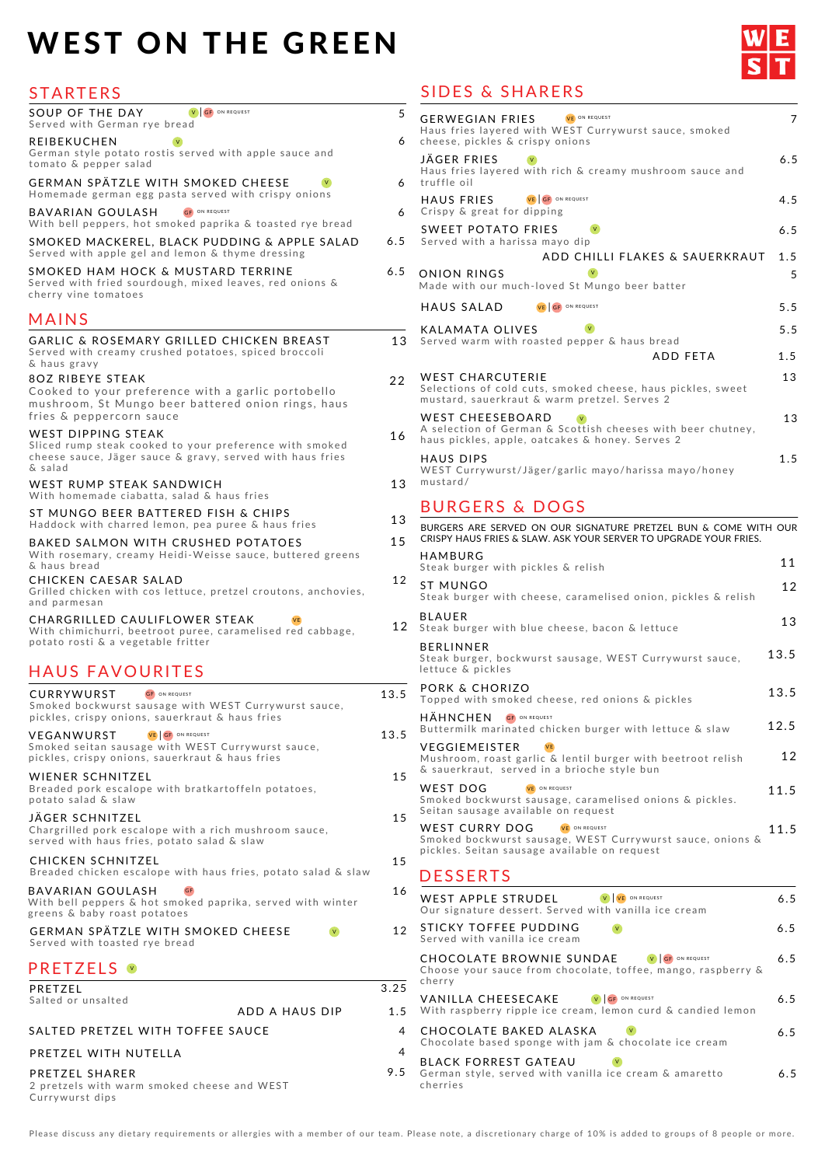#### GERMAN SPÄTZLE WITH SMOKED CHEESE

Served with toasted rye bread

# PRETZELS **V**

BAVARIAN GOULASH

With bell peppers & hot smoked paprika, served with winter greens & baby roast potatoes

**GF** 

Breaded chicken escalope with haus fries, potato salad & slaw

V

| 5<br>6         | VE ON REQUEST<br><b>GERWEGIAN FRIES</b><br>Haus fries layered with WEST Currywurst sauce, smoked<br>cheese, pickles & crispy onions                 | 7    |
|----------------|-----------------------------------------------------------------------------------------------------------------------------------------------------|------|
| 6              | JÄGER FRIES<br>Haus fries layered with rich & creamy mushroom sauce and<br>truffle oil                                                              | 6.5  |
| 6              | VE GF ON REQUEST<br>HAUS FRIES<br>Crispy & great for dipping                                                                                        | 4.5  |
| 5              | <b>SWEET POTATO FRIES</b><br>V<br>Served with a harissa mayo dip                                                                                    | 6.5  |
|                | ADD CHILLI FLAKES & SAUERKRAUT                                                                                                                      | 1.5  |
| 5              | <b>ONION RINGS</b><br>Made with our much-loved St Mungo beer batter                                                                                 | 5    |
|                | <b>HAUS SALAD</b><br>VE GF ON REQUEST                                                                                                               | 5.5  |
| 3              | V<br><b>KALAMATA OLIVES</b><br>Served warm with roasted pepper & haus bread                                                                         | 5.5  |
|                | ADD FETA                                                                                                                                            | 1.5  |
| 2              | <b>WEST CHARCUTERIE</b><br>Selections of cold cuts, smoked cheese, haus pickles, sweet<br>mustard, sauerkraut & warm pretzel. Serves 2              | 13   |
| 6              | <b>WEST CHEESEBOARD</b><br>A selection of German & Scottish cheeses with beer chutney,<br>haus pickles, apple, oatcakes & honey. Serves 2           | 13   |
| 3              | <b>HAUS DIPS</b><br>WEST Currywurst/Jäger/garlic mayo/harissa mayo/honey<br>mustard/                                                                | 1.5  |
|                |                                                                                                                                                     |      |
|                | <b>BURGERS &amp; DOGS</b>                                                                                                                           |      |
| 3<br>5         | BURGERS ARE SERVED ON OUR SIGNATURE PRETZEL BUN & COME WITH OUR<br>CRISPY HAUS FRIES & SLAW. ASK YOUR SERVER TO UPGRADE YOUR FRIES.                 |      |
|                | <b>HAMBURG</b><br>Steak burger with pickles & relish                                                                                                | 11   |
| $\overline{2}$ | <b>ST MUNGO</b><br>Steak burger with cheese, caramelised onion, pickles & relish                                                                    | 12   |
| $\overline{2}$ | <b>BLAUER</b><br>Steak burger with blue cheese, bacon & lettuce                                                                                     | 13   |
|                | <b>BERLINNER</b><br>Steak burger, bockwurst sausage, WEST Currywurst sauce,<br>lettuce & pickles                                                    | 13.5 |
| $\frac{1}{5}$  | PORK & CHORIZO<br>Topped with smoked cheese, red onions & pickles                                                                                   | 13.5 |
|                | HÄHNCHEN<br>GF ON REQUEST<br>Buttermilk marinated chicken burger with lettuce & slaw                                                                | 12.5 |
| 5<br>5         | <b>VEGGIEMEISTER</b><br>Mushroom, roast garlic & lentil burger with beetroot relish<br>& sauerkraut, served in a brioche style bun                  | 12   |
|                | <b>WEST DOG</b><br>VE ON REQUEST<br>Smoked bockwurst sausage, caramelised onions & pickles.<br>Seitan sausage available on request                  | 11.5 |
| 5<br>5         | <b>WEST CURRY DOG</b><br>VE ON REQUEST<br>Smoked bockwurst sausage, WEST Currywurst sauce, onions &<br>pickles. Seitan sausage available on request | 11.5 |

#### PRETZEL

Salted or unsalted

ADD A HAUS DIP

#### SALTED PRETZEL WITH TOFFEE SAUCE

### PRETZEL WITH NUTELLA

#### PRETZEL SHARER

2 pretzels with warm smoked cheese and WEST Currywurst dips

| 16     | WEST APPLE STRUDEL<br>ON REQUEST<br>Our signature dessert. Served with vanilla ice cream                                   | 6.5 |
|--------|----------------------------------------------------------------------------------------------------------------------------|-----|
| 12     | <b>STICKY TOFFEE PUDDING</b><br>Served with vanilla ice cream                                                              | 6.5 |
| 3.25   | CHOCOLATE BROWNIE SUNDAE<br><b>GF</b> ON REQUEST<br>Choose your sauce from chocolate, toffee, mango, raspberry &<br>cherry | 6.5 |
| 1.5    | VANILLA CHEESECAKE<br>V GF ON REQUEST<br>With raspberry ripple ice cream, lemon curd & candied lemon                       | 6.5 |
| 4<br>4 | CHOCOLATE BAKED ALASKA<br>Chocolate based sponge with jam & chocolate ice cream                                            | 6.5 |
| 9.5    | <b>BLACK FORREST GATEAU</b><br>German style, served with vanilla ice cream & amaretto<br>cherries                          | 6.5 |

Please discuss any dietary requirements or allergies with a member of our team. Please note, a discretionary charge of 10% is added to groups of 8 people or more.

| SOUP OF THE DAY<br>V GF ON REQUEST<br>Served with German rye bread                                                                                              | 5               |
|-----------------------------------------------------------------------------------------------------------------------------------------------------------------|-----------------|
| <b>REIBEKUCHEN</b><br>German style potato rostis served with apple sauce and<br>tomato & pepper salad                                                           | 6               |
| <b>GERMAN SPÄTZLE WITH SMOKED CHEESE</b><br>Homemade german egg pasta served with crispy onions                                                                 | 6               |
| <b>BAVARIAN GOULASH</b><br>GF ON REQUEST<br>With bell peppers, hot smoked paprika & toasted rye bread                                                           | 6               |
| SMOKED MACKEREL, BLACK PUDDING & APPLE SALAD<br>Served with apple gel and lemon & thyme dressing                                                                | 6.5             |
| SMOKED HAM HOCK & MUSTARD TERRINE<br>Served with fried sourdough, mixed leaves, red onions &<br>cherry vine tomatoes                                            | 6.5             |
| MAINS                                                                                                                                                           |                 |
| <b>GARLIC &amp; ROSEMARY GRILLED CHICKEN BREAST</b><br>Served with creamy crushed potatoes, spiced broccoli<br>& haus gravy                                     | 13              |
| <b>8OZ RIBEYE STEAK</b><br>Cooked to your preference with a garlic portobello<br>mushroom, St Mungo beer battered onion rings, haus<br>fries & peppercorn sauce | 22              |
| WEST DIPPING STEAK<br>Sliced rump steak cooked to your preference with smoked<br>cheese sauce, Jäger sauce & gravy, served with haus fries<br>& salad           | 16              |
| WEST RUMP STEAK SANDWICH<br>With homemade ciabatta, salad & haus fries                                                                                          | 13              |
| ST MUNGO BEER BATTERED FISH & CHIPS<br>Haddock with charred lemon, pea puree & haus fries                                                                       | 13              |
| BAKED SALMON WITH CRUSHED POTATOES<br>With rosemary, creamy Heidi-Weisse sauce, buttered greens<br>& haus bread                                                 | 15              |
| CHICKEN CAESAR SALAD<br>Grilled chicken with cos lettuce, pretzel croutons, anchovies,<br>and parmesan                                                          | 12              |
| CHARGRILLED CAULIFLOWER STEAK<br>With chimichurri, beetroot puree, caramelised red cabbage,<br>potato rosti & a vegetable fritter                               | 12 <sub>2</sub> |
| <b>HAUS FAVOURITES</b>                                                                                                                                          |                 |
| CURRYWURST<br><b>GF</b> ON REQUEST<br>Smoked bockwurst sausage with WEST Currywurst sauce,<br>pickles, crispy onions, sauerkraut & haus fries                   | 13.5            |
| VE GF ON REQUEST<br>VEGANWURST<br>Smoked seitan sausage with WEST Currywurst sauce,<br>pickles, crispy onions, sauerkraut & haus fries                          | 13.5            |
| <b>WIENER SCHNITZEL</b><br>Breaded pork escalope with bratkartoffeln potatoes,<br>potato salad & slaw                                                           | 15              |
| JÄGER SCHNITZEL<br>Chargrilled pork escalope with a rich mushroom sauce,<br>served with haus fries, potato salad & slaw                                         | 15              |
| CHICKEN SCHNITZEL                                                                                                                                               | 15              |

# SIDES & SHARERS

# WEST ON THE GREEN



# STARTERS